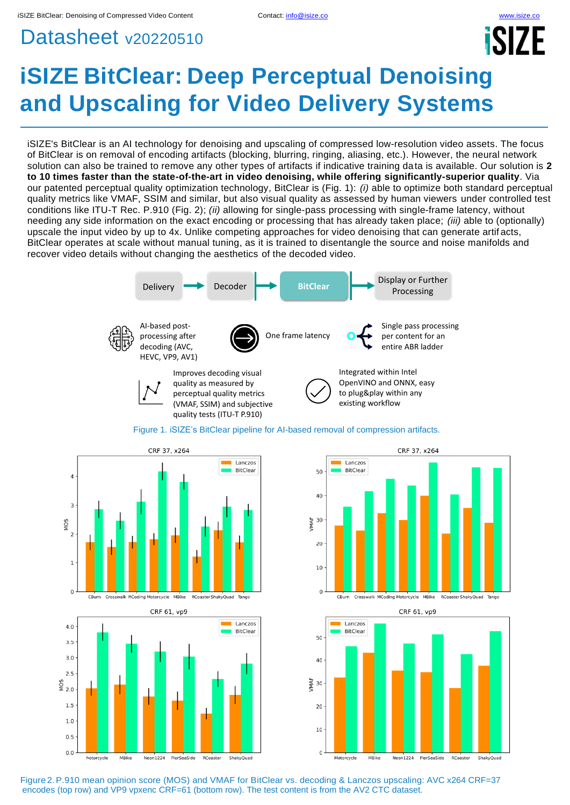## Datasheet v20220510

# **iSIZE BitClear: Deep Perceptual Denoising and Upscaling for Video Delivery Systems**

iSIZE's BitClear is an AI technology for denoising and upscaling of compressed low-resolution video assets. The focus of BitClear is on removal of encoding artifacts (blocking, blurring, ringing, aliasing, etc.). However, the neural network solution can also be trained to remove any other types of artifacts if indicative training data is available. Our solution is **2 to 10 times faster than the state-of-the-art in video denoising, while offering significantly-superior quality**. Via our patented perceptual quality optimization technology, BitClear is (Fig. 1): *(i)* able to optimize both standard perceptual quality metrics like VMAF, SSIM and similar, but also visual quality as assessed by human viewers under controlled test conditions like ITU-T Rec. P.910 (Fig. 2); *(ii)* allowing for single-pass processing with single-frame latency, without needing any side information on the exact encoding or processing that has already taken place; *(iii)* able to (optionally) upscale the input video by up to 4x. Unlike competing approaches for video denoising that can generate artif acts, BitClear operates at scale without manual tuning, as it is trained to disentangle the source and noise manifolds and recover video details without changing the aesthetics of the decoded video.





 $\overline{0}$ CBurn Crosswalk MCoding Motorcycle MBike RCoaster ShakyQuad Tango







Figure 2.P.910 mean opinion score (MOS) and VMAF for BitClear vs. decoding & Lanczos upscaling: AVC x264 CRF=37 encodes (top row) and VP9 vpxenc CRF=61 (bottom row). The test content is from the AV2 CTC dataset.